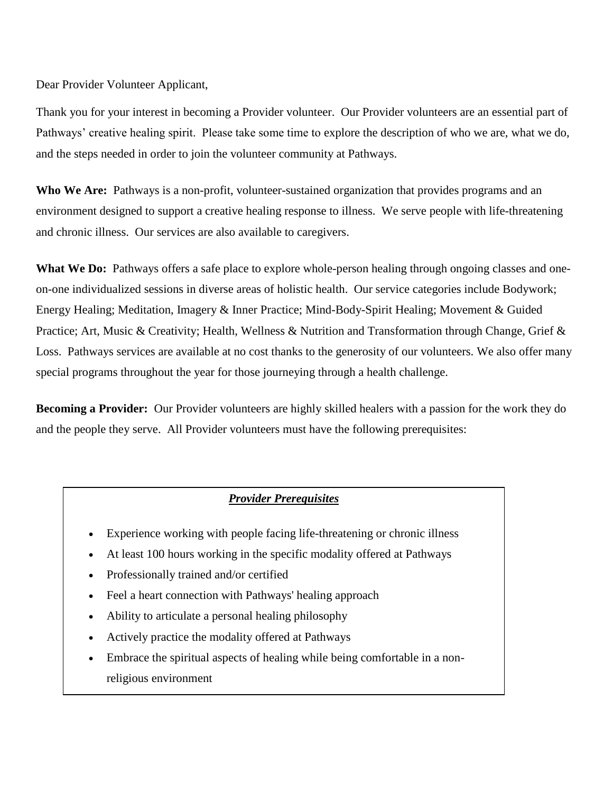Dear Provider Volunteer Applicant,

Thank you for your interest in becoming a Provider volunteer. Our Provider volunteers are an essential part of Pathways' creative healing spirit. Please take some time to explore the description of who we are, what we do, and the steps needed in order to join the volunteer community at Pathways.

**Who We Are:** Pathways is a non-profit, volunteer-sustained organization that provides programs and an environment designed to support a creative healing response to illness. We serve people with life-threatening and chronic illness. Our services are also available to caregivers.

What We Do: Pathways offers a safe place to explore whole-person healing through ongoing classes and oneon-one individualized sessions in diverse areas of holistic health. Our service categories include Bodywork; Energy Healing; Meditation, Imagery & Inner Practice; Mind-Body-Spirit Healing; Movement & Guided Practice; Art, Music & Creativity; Health, Wellness & Nutrition and Transformation through Change, Grief & Loss. Pathways services are available at no cost thanks to the generosity of our volunteers. We also offer many special programs throughout the year for those journeying through a health challenge.

**Becoming a Provider:** Our Provider volunteers are highly skilled healers with a passion for the work they do and the people they serve. All Provider volunteers must have the following prerequisites:

#### *Provider Prerequisites*

- Experience working with people facing life-threatening or chronic illness
- At least 100 hours working in the specific modality offered at Pathways
- Professionally trained and/or certified
- Feel a heart connection with Pathways' healing approach
- Ability to articulate a personal healing philosophy
- Actively practice the modality offered at Pathways
- Embrace the spiritual aspects of healing while being comfortable in a nonreligious environment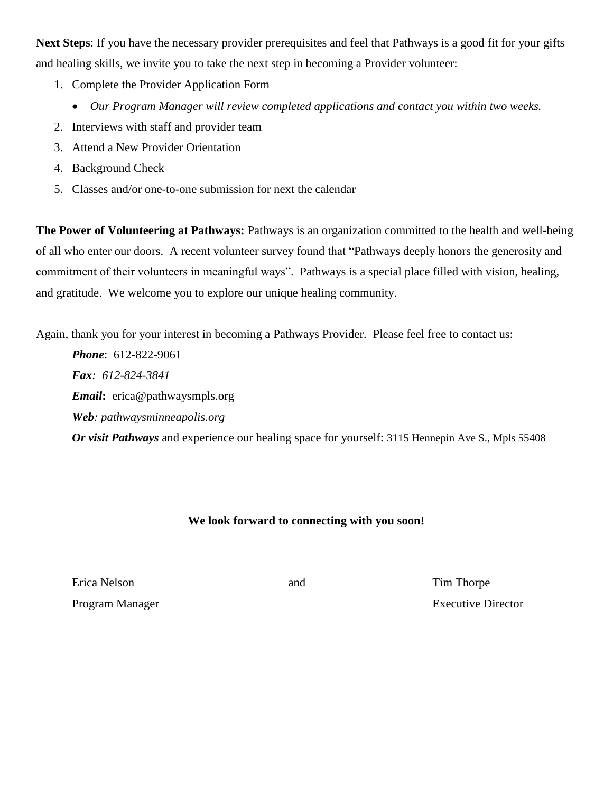**Next Steps**: If you have the necessary provider prerequisites and feel that Pathways is a good fit for your gifts and healing skills, we invite you to take the next step in becoming a Provider volunteer:

- 1. Complete the Provider Application Form
	- *Our Program Manager will review completed applications and contact you within two weeks.*
- 2. Interviews with staff and provider team
- 3. Attend a New Provider Orientation
- 4. Background Check
- 5. Classes and/or one-to-one submission for next the calendar

**The Power of Volunteering at Pathways:** Pathways is an organization committed to the health and well-being of all who enter our doors. A recent volunteer survey found that "Pathways deeply honors the generosity and commitment of their volunteers in meaningful ways". Pathways is a special place filled with vision, healing, and gratitude. We welcome you to explore our unique healing community.

Again, thank you for your interest in becoming a Pathways Provider.Please feel free to contact us:

*Phone*: 612-822-9061 *Fax: 612-824-3841 Email***:** erica@pathwaysmpls.org *Web: pathwaysminneapolis.org Or visit Pathways* and experience our healing space for yourself: 3115 Hennepin Ave S., Mpls 55408

#### **We look forward to connecting with you soon!**

Erica Nelson and Tim Thorpe

Program Manager Executive Director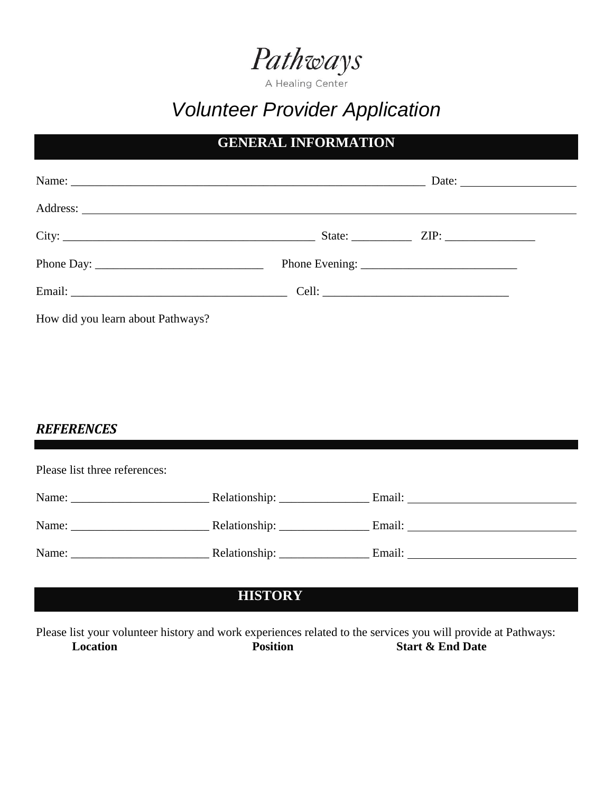

A Healing Center

# *Volunteer Provider Application*

## **GENERAL INFORMATION**

|                                   | Date: $\frac{1}{\sqrt{1-\frac{1}{2}} \cdot \frac{1}{2}}$ |
|-----------------------------------|----------------------------------------------------------|
|                                   |                                                          |
|                                   |                                                          |
|                                   |                                                          |
|                                   |                                                          |
| How did you learn about Pathways? |                                                          |

#### *REFERENCES*

| Please list three references: |                                |                                                                                                                                                                                                                                |  |  |
|-------------------------------|--------------------------------|--------------------------------------------------------------------------------------------------------------------------------------------------------------------------------------------------------------------------------|--|--|
|                               | Relationship: ________________ |                                                                                                                                                                                                                                |  |  |
|                               |                                |                                                                                                                                                                                                                                |  |  |
|                               |                                | Email: The contract of the contract of the contract of the contract of the contract of the contract of the contract of the contract of the contract of the contract of the contract of the contract of the contract of the con |  |  |

## **HISTORY**

Please list your volunteer history and work experiences related to the services you will provide at Pathways: **Location Position Position Start & End Date**